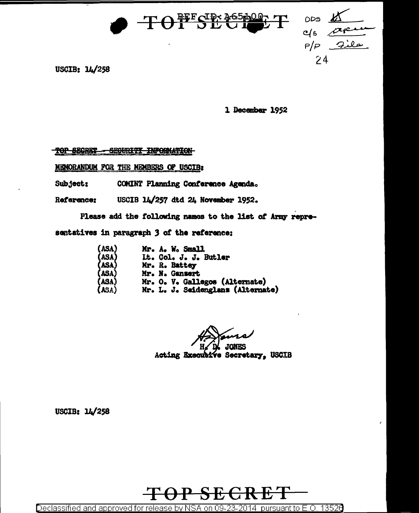

ODS c/s apu  $c/s$  $24$ 

USCIB: 14/258

1 December 1952

TOP SECRET - SEGURITY INFORMATION

MENORANDUM FOR THE MEMBERS OF USCIB:

Subject: COMINT Planning Conference Agenda.

USCIB 14/257 dtd 24 November 1952. Reference:

Please add the following names to the list of Army repre-

sentatives in paragraph 3 of the reference:

| (asa)                                     | Mr. A. W. Small                   |
|-------------------------------------------|-----------------------------------|
|                                           | It. Col. J. J. Butler             |
|                                           | Mr. R. Battey                     |
|                                           | Mr. N. Ganzert                    |
|                                           | Mr. O. V. Gallegos (Alternate)    |
| (ASA)<br>(ASA)<br>(ASA)<br>(ASA)<br>(ASA) | Mr. L. J. Seidenglans (Alternate) |

ممصه **JONES** 

Acting Executive Secretary, USCIB

USCIB: 14/258



Declassified and approved for release by NSA on 09-23-2014 pursuant to E.O. 13526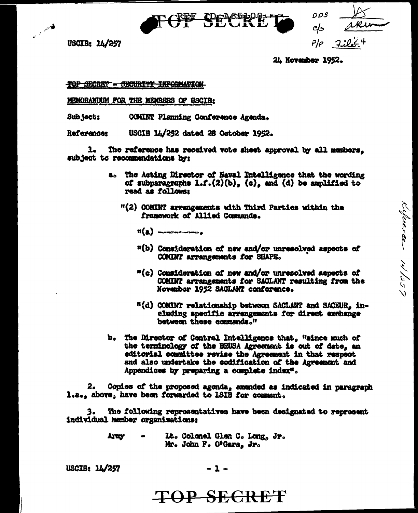**TOPAGE BOOK** 

USCIB: 14/257

کلاسی در

 $DDS$ c/s  $P/\!\!\!\rho$ 

Kuloneree 14/259

24 November 1952.

TOP SECRET = SECURITY INFORMATION

MEMORANDUM FOR THE MEMBERS OF USCIB:

Sub ject: COMINT Planning Conference Agenda.

Raferences USCIB 14/252 dated 26 October 1952.

The reference has received vote sheet approval by all members. ı. subject to recommendations by:

- a. The Acting Director of Naval Intelligence that the wording of subparagraphs  $1.1.(2)(b)$ , (c), and (d) be amplified to read as follows:
	- "(2) COMINT arrangements with Third Parties within the framework of Allied Commands.
		- $\mathfrak{m}(\underline{\mathbf{a}})$  survey to the  $\mathbf{a}$
		- "(b) Consideration of new and/or unresolved aspects of COMINT arrangements for SHAPE.
		- "(c) Consideration of new and/or unresolved aspects of COMINT arrangements for SACLANT resulting from the November 1952 SACLANT conference.
		- "(d) COMINT relationship between SACLANT and SACEUR, including specific arrangements for direct exchange between these commands."
- b. The Director of Central Intelligence that, "since much of the terminology of the BRUSA Agreement is out of date, an editorial committee revise the Agreement in that respect and also undertake the codification of the Agreement and Appendices by preparing a complete index".

2. Copies of the proposed agenda, amended as indicated in paragraph l.a., above, have been forwarded to ISIB for comment.

The following representatives have been designated to represent 3. individual member organizations:

> It. Colonel Glen C. Long, Jr. Army Mr. John F. O'Gara, Jr.

USCIB: 14/257

 $-1-$ 

## TOP SECRET